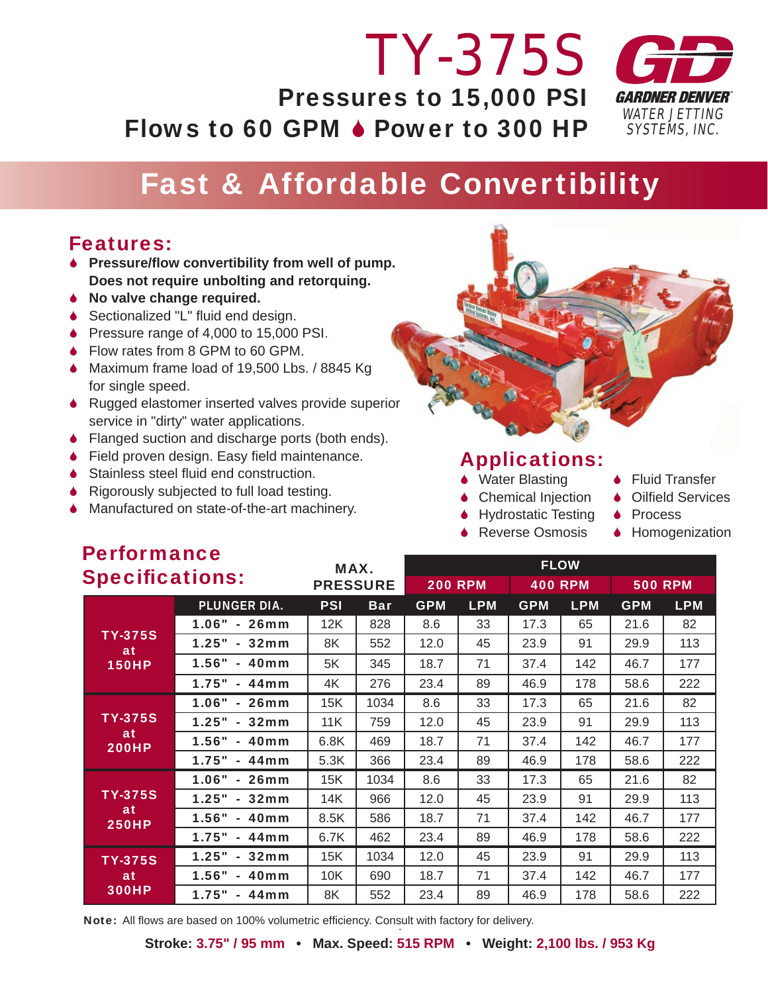# *TY-375S* Pressures to 15,000 PSI Flows to 60 GPM  $\bullet$  Power to 300 HP



## Fast & Affordable Convertibility

#### Features:

- 6 **Pressure/fl ow convertibility from well of pump. Does not require unbolting and retorquing.**
- 6 **No valve change required.**
- ♦ Sectionalized "L" fluid end design.
- 6 Pressure range of 4,000 to 15,000 PSI.
- ◆ Flow rates from 8 GPM to 60 GPM.
- 6 Maximum frame load of 19,500 Lbs. / 8845 Kg for single speed.
- 6 Rugged elastomer inserted valves provide superior service in "dirty" water applications.
- ♦ Flanged suction and discharge ports (both ends).
- $\bullet$  Field proven design. Easy field maintenance.
- $\bullet$  Stainless steel fluid end construction.
- ◆ Rigorously subjected to full load testing.
- ◆ Manufactured on state-of-the-art machinery.



#### Applications:

- ◆ Water Blasting → Fluid Transfer
- $\bullet$  Chemical Injection  $\bullet$  Oilfield Services
- ◆ Hydrostatic Testing ◆ Process
- ♦ Reverse Osmosis Homogenization
- 
- 
- -

| $\blacksquare$ choining to the state of $\blacksquare$<br><b>Specifications:</b> |                     | MAX.<br><b>PRESSURE</b> |            | <b>FLOW</b>    |            |                |            |                |            |
|----------------------------------------------------------------------------------|---------------------|-------------------------|------------|----------------|------------|----------------|------------|----------------|------------|
|                                                                                  |                     |                         |            | <b>200 RPM</b> |            | <b>400 RPM</b> |            | <b>500 RPM</b> |            |
|                                                                                  | <b>PLUNGER DIA.</b> | <b>PSI</b>              | <b>Bar</b> | <b>GPM</b>     | <b>LPM</b> | <b>GPM</b>     | <b>LPM</b> | <b>GPM</b>     | <b>LPM</b> |
| <b>TY-375S</b><br>at<br><b>150HP</b>                                             | $1.06" - 26mm$      | 12K                     | 828        | 8.6            | 33         | 17.3           | 65         | 21.6           | 82         |
|                                                                                  | 1.25" - 32mm        | 8K                      | 552        | 12.0           | 45         | 23.9           | 91         | 29.9           | 113        |
|                                                                                  | 1.56" - 40mm        | 5K                      | 345        | 18.7           | 71         | 37.4           | 142        | 46.7           | 177        |
|                                                                                  | $1.75" - 44mm$      | 4K                      | 276        | 23.4           | 89         | 46.9           | 178        | 58.6           | 222        |
| <b>TY-375S</b><br>at<br><b>200HP</b>                                             | $1.06" - 26mm$      | 15K                     | 1034       | 8.6            | 33         | 17.3           | 65         | 21.6           | 82         |
|                                                                                  | 1.25"<br>$-32mm$    | 11K                     | 759        | 12.0           | 45         | 23.9           | 91         | 29.9           | 113        |
|                                                                                  | 1.56"<br>- 40mm     | 6.8K                    | 469        | 18.7           | 71         | 37.4           | 142        | 46.7           | 177        |
|                                                                                  | 1.75"<br>$-44$ mm   | 5.3K                    | 366        | 23.4           | 89         | 46.9           | 178        | 58.6           | 222        |
| <b>TY-375S</b><br>at<br><b>250HP</b>                                             | $1.06" - 26mm$      | 15K                     | 1034       | 8.6            | 33         | 17.3           | 65         | 21.6           | 82         |
|                                                                                  | $1.25" - 32mm$      | 14K                     | 966        | 12.0           | 45         | 23.9           | 91         | 29.9           | 113        |
|                                                                                  | 1.56" - 40mm        | 8.5K                    | 586        | 18.7           | 71         | 37.4           | 142        | 46.7           | 177        |
|                                                                                  | 1.75"<br>$-44$ mm   | 6.7K                    | 462        | 23.4           | 89         | 46.9           | 178        | 58.6           | 222        |
| <b>TY-375S</b><br>at<br><b>300HP</b>                                             | 1.25"<br>- 32mm     | 15K                     | 1034       | 12.0           | 45         | 23.9           | 91         | 29.9           | 113        |
|                                                                                  | 1.56"<br>- 40mm     | 10K                     | 690        | 18.7           | 71         | 37.4           | 142        | 46.7           | 177        |
|                                                                                  | $1.75" - 44mm$      | 8K                      | 552        | 23.4           | 89         | 46.9           | 178        | 58.6           | 222        |

Note: All flows are based on 100% volumetric efficiency. Consult with factory for delivery.

**Stroke: 3.75" / 95 mm • Max. Speed: 515 RPM • Weight: 2,100 lbs. / 953 Kg**

# **Darformance**